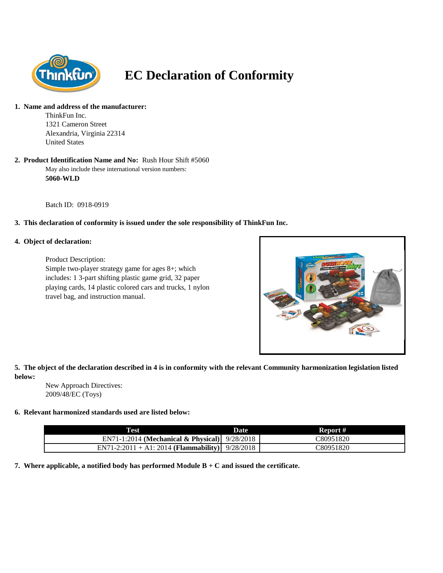

# **EC Declaration of Conformity**

#### **1. Name and address of the manufacturer:**

ThinkFun Inc. 1321 Cameron Street Alexandria, Virginia 22314 United States

#### May also include these international version numbers: **5060-WLD 2. Product Identification Name and No:** Rush Hour Shift #5060

Batch ID: 0918-0919

# **3. This declaration of conformity is issued under the sole responsibility of ThinkFun Inc.**

### **4. Object of declaration:**

Product Description: Simple two-player strategy game for ages 8+; which includes: 1 3-part shifting plastic game grid, 32 paper playing cards, 14 plastic colored cars and trucks, 1 nylon travel bag, and instruction manual.



# **5. The object of the declaration described in 4 is in conformity with the relevant Community harmonization legislation listed below:**

New Approach Directives: 2009/48/EC (Toys)

### **6. Relevant harmonized standards used are listed below:**

| <b>Test</b>                                      | Date | Report #  |
|--------------------------------------------------|------|-----------|
| EN71-1:2014 (Mechanical & Physical) $9/28/2018$  |      | C80951820 |
| $EN71-2:2011 + A1:2014$ (Flammability) 9/28/2018 |      | C80951820 |

**7. Where applicable, a notified body has performed Module B + C and issued the certificate.**